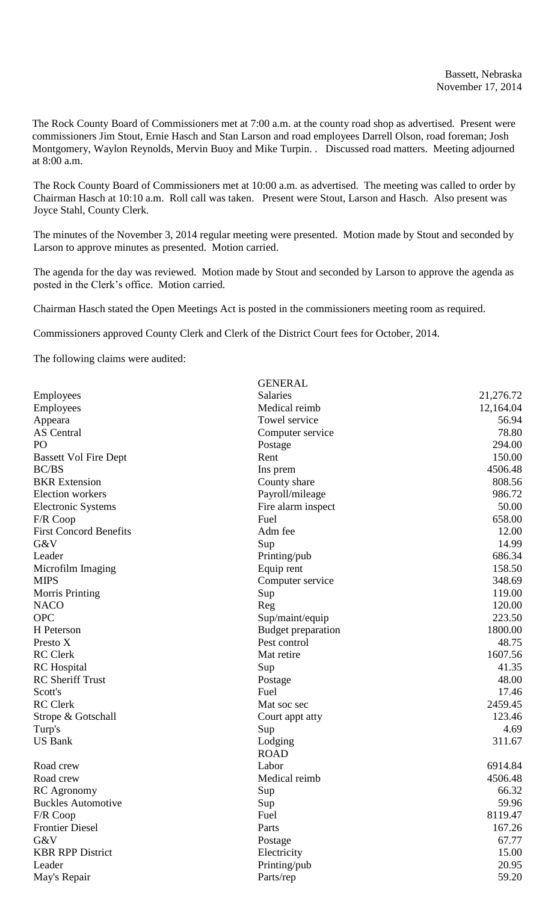The Rock County Board of Commissioners met at 7:00 a.m. at the county road shop as advertised. Present were commissioners Jim Stout, Ernie Hasch and Stan Larson and road employees Darrell Olson, road foreman; Josh Montgomery, Waylon Reynolds, Mervin Buoy and Mike Turpin. . Discussed road matters. Meeting adjourned at 8:00 a.m.

The Rock County Board of Commissioners met at 10:00 a.m. as advertised. The meeting was called to order by Chairman Hasch at 10:10 a.m. Roll call was taken. Present were Stout, Larson and Hasch. Also present was Joyce Stahl, County Clerk.

The minutes of the November 3, 2014 regular meeting were presented. Motion made by Stout and seconded by Larson to approve minutes as presented. Motion carried.

The agenda for the day was reviewed. Motion made by Stout and seconded by Larson to approve the agenda as posted in the Clerk's office. Motion carried.

Chairman Hasch stated the Open Meetings Act is posted in the commissioners meeting room as required.

Commissioners approved County Clerk and Clerk of the District Court fees for October, 2014.

The following claims were audited:

|                               | <b>GENERAL</b>     |           |
|-------------------------------|--------------------|-----------|
| Employees                     | <b>Salaries</b>    | 21,276.72 |
| Employees                     | Medical reimb      | 12,164.04 |
| Appeara                       | Towel service      | 56.94     |
| <b>AS</b> Central             | Computer service   | 78.80     |
| PO                            | Postage            | 294.00    |
| <b>Bassett Vol Fire Dept</b>  | Rent               | 150.00    |
| <b>BC/BS</b>                  | Ins prem           | 4506.48   |
| <b>BKR</b> Extension          | County share       | 808.56    |
| Election workers              | Payroll/mileage    | 986.72    |
| <b>Electronic Systems</b>     | Fire alarm inspect | 50.00     |
| F/R Coop                      | Fuel               | 658.00    |
| <b>First Concord Benefits</b> | Adm fee            | 12.00     |
| G&V                           | Sup                | 14.99     |
| Leader                        | Printing/pub       | 686.34    |
| Microfilm Imaging             | Equip rent         | 158.50    |
| <b>MIPS</b>                   | Computer service   | 348.69    |
| <b>Morris Printing</b>        | Sup                | 119.00    |
| <b>NACO</b>                   | Reg                | 120.00    |
| <b>OPC</b>                    | Sup/maint/equip    | 223.50    |
| H Peterson                    | Budget preparation | 1800.00   |
| Presto X                      | Pest control       | 48.75     |
| <b>RC</b> Clerk               | Mat retire         | 1607.56   |
| <b>RC</b> Hospital            | Sup                | 41.35     |
| <b>RC</b> Sheriff Trust       | Postage            | 48.00     |
| Scott's                       | Fuel               | 17.46     |
| <b>RC</b> Clerk               | Mat soc sec        | 2459.45   |
| Strope & Gotschall            | Court appt atty    | 123.46    |
| Turp's                        | Sup                | 4.69      |
| <b>US Bank</b>                | Lodging            | 311.67    |
|                               | <b>ROAD</b>        |           |
| Road crew                     | Labor              | 6914.84   |
| Road crew                     | Medical reimb      | 4506.48   |
| RC Agronomy                   | Sup                | 66.32     |
| <b>Buckles Automotive</b>     | Sup                | 59.96     |
| F/R Coop                      | Fuel               | 8119.47   |
| <b>Frontier Diesel</b>        | Parts              | 167.26    |
| G&V                           | Postage            | 67.77     |
| <b>KBR RPP District</b>       | Electricity        | 15.00     |
| Leader                        | Printing/pub       | 20.95     |
| May's Repair                  | Parts/rep          | 59.20     |